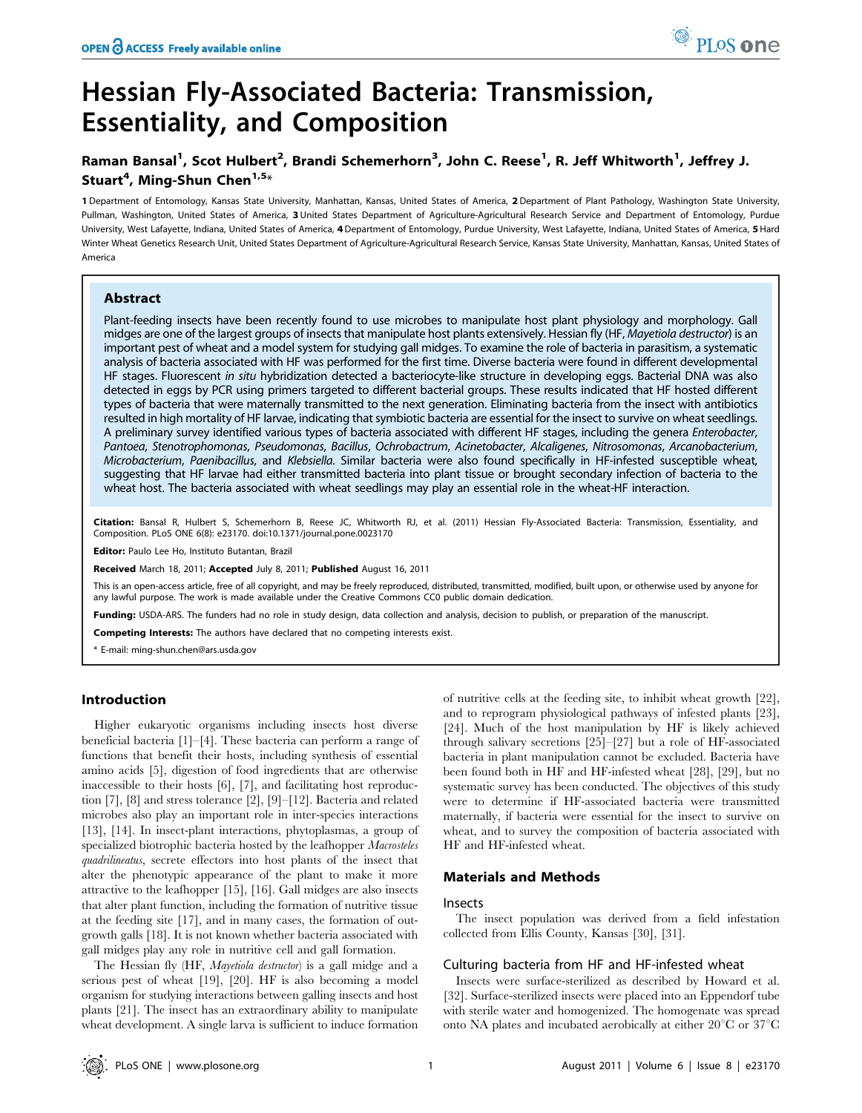# Hessian Fly-Associated Bacteria: Transmission, Essentiality, and Composition

# Raman Bansal<sup>1</sup>, Scot Hulbert<sup>2</sup>, Brandi Schemerhorn<sup>3</sup>, John C. Reese<sup>1</sup>, R. Jeff Whitworth<sup>1</sup>, Jeffrey J. Stuart<sup>4</sup>, Ming-Shun Chen<sup>1,5</sup>\*

1 Department of Entomology, Kansas State University, Manhattan, Kansas, United States of America, 2 Department of Plant Pathology, Washington State University, Pullman, Washington, United States of America, 3 United States Department of Agriculture-Agricultural Research Service and Department of Entomology, Purdue University, West Lafayette, Indiana, United States of America, 4 Department of Entomology, Purdue University, West Lafayette, Indiana, United States of America, 5 Hard Winter Wheat Genetics Research Unit, United States Department of Agriculture-Agricultural Research Service, Kansas State University, Manhattan, Kansas, United States of America

## Abstract

Plant-feeding insects have been recently found to use microbes to manipulate host plant physiology and morphology. Gall midges are one of the largest groups of insects that manipulate host plants extensively. Hessian fly (HF, Mayetiola destructor) is an important pest of wheat and a model system for studying gall midges. To examine the role of bacteria in parasitism, a systematic analysis of bacteria associated with HF was performed for the first time. Diverse bacteria were found in different developmental HF stages. Fluorescent in situ hybridization detected a bacteriocyte-like structure in developing eggs. Bacterial DNA was also detected in eggs by PCR using primers targeted to different bacterial groups. These results indicated that HF hosted different types of bacteria that were maternally transmitted to the next generation. Eliminating bacteria from the insect with antibiotics resulted in high mortality of HF larvae, indicating that symbiotic bacteria are essential for the insect to survive on wheat seedlings. A preliminary survey identified various types of bacteria associated with different HF stages, including the genera Enterobacter, Pantoea, Stenotrophomonas, Pseudomonas, Bacillus, Ochrobactrum, Acinetobacter, Alcaligenes, Nitrosomonas, Arcanobacterium, Microbacterium, Paenibacillus, and Klebsiella. Similar bacteria were also found specifically in HF-infested susceptible wheat, suggesting that HF larvae had either transmitted bacteria into plant tissue or brought secondary infection of bacteria to the wheat host. The bacteria associated with wheat seedlings may play an essential role in the wheat-HF interaction.

Citation: Bansal R, Hulbert S, Schemerhorn B, Reese JC, Whitworth RJ, et al. (2011) Hessian Fly-Associated Bacteria: Transmission, Essentiality, and Composition. PLoS ONE 6(8): e23170. doi:10.1371/journal.pone.0023170

Editor: Paulo Lee Ho, Instituto Butantan, Brazil

Received March 18, 2011; Accepted July 8, 2011; Published August 16, 2011

This is an open-access article, free of all copyright, and may be freely reproduced, distributed, transmitted, modified, built upon, or otherwise used by anyone for any lawful purpose. The work is made available under the Creative Commons CC0 public domain dedication.

Funding: USDA-ARS. The funders had no role in study design, data collection and analysis, decision to publish, or preparation of the manuscript.

Competing Interests: The authors have declared that no competing interests exist.

\* E-mail: ming-shun.chen@ars.usda.gov

## Introduction

Higher eukaryotic organisms including insects host diverse beneficial bacteria [1]–[4]. These bacteria can perform a range of functions that benefit their hosts, including synthesis of essential amino acids [5], digestion of food ingredients that are otherwise inaccessible to their hosts [6], [7], and facilitating host reproduction [7], [8] and stress tolerance [2], [9]–[12]. Bacteria and related microbes also play an important role in inter-species interactions [13], [14]. In insect-plant interactions, phytoplasmas, a group of specialized biotrophic bacteria hosted by the leafhopper Macrosteles quadrilineatus, secrete effectors into host plants of the insect that alter the phenotypic appearance of the plant to make it more attractive to the leafhopper [15], [16]. Gall midges are also insects that alter plant function, including the formation of nutritive tissue at the feeding site [17], and in many cases, the formation of outgrowth galls [18]. It is not known whether bacteria associated with gall midges play any role in nutritive cell and gall formation.

The Hessian fly (HF, Mayetiola destructor) is a gall midge and a serious pest of wheat [19], [20]. HF is also becoming a model organism for studying interactions between galling insects and host plants [21]. The insect has an extraordinary ability to manipulate wheat development. A single larva is sufficient to induce formation of nutritive cells at the feeding site, to inhibit wheat growth [22], and to reprogram physiological pathways of infested plants [23], [24]. Much of the host manipulation by HF is likely achieved through salivary secretions [25]–[27] but a role of HF-associated bacteria in plant manipulation cannot be excluded. Bacteria have been found both in HF and HF-infested wheat [28], [29], but no systematic survey has been conducted. The objectives of this study were to determine if HF-associated bacteria were transmitted maternally, if bacteria were essential for the insect to survive on wheat, and to survey the composition of bacteria associated with HF and HF-infested wheat.

## Materials and Methods

## Insects

The insect population was derived from a field infestation collected from Ellis County, Kansas [30], [31].

## Culturing bacteria from HF and HF-infested wheat

Insects were surface-sterilized as described by Howard et al. [32]. Surface-sterilized insects were placed into an Eppendorf tube with sterile water and homogenized. The homogenate was spread onto NA plates and incubated aerobically at either  $20^{\circ}$ C or  $37^{\circ}$ C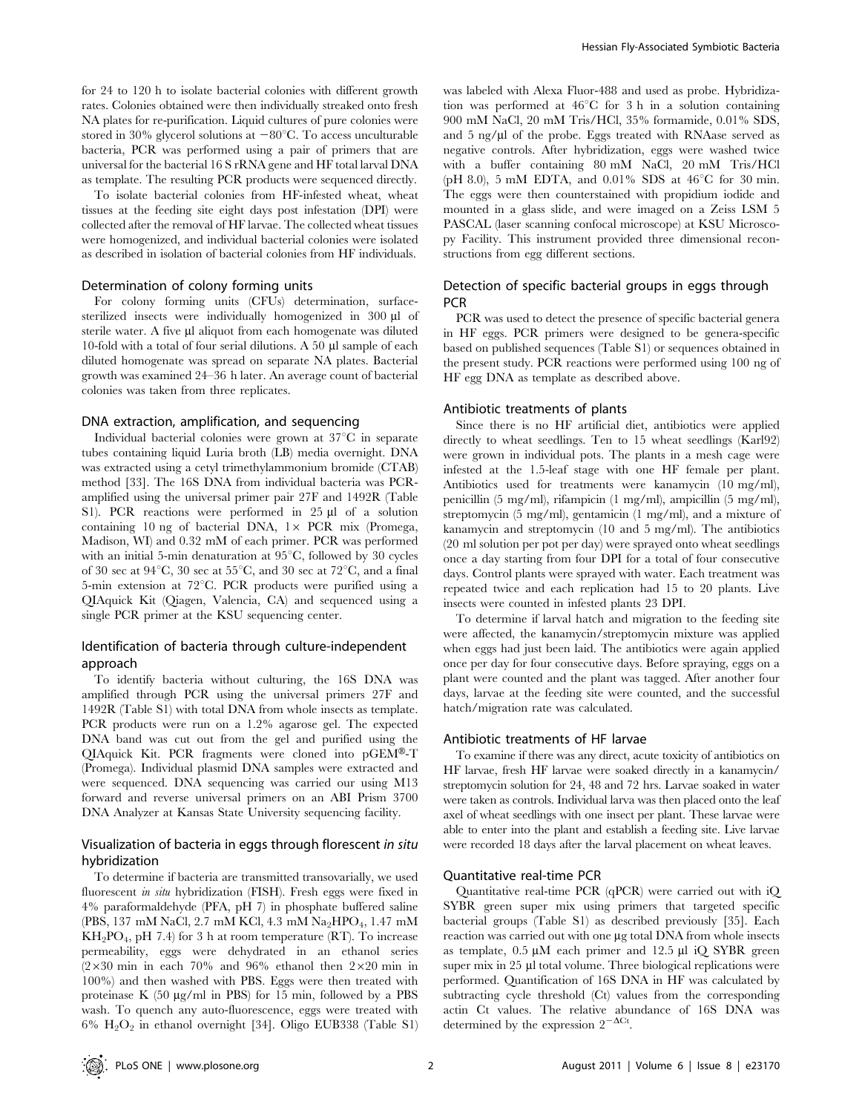for 24 to 120 h to isolate bacterial colonies with different growth rates. Colonies obtained were then individually streaked onto fresh NA plates for re-purification. Liquid cultures of pure colonies were stored in 30% glycerol solutions at  $-80^{\circ}$ C. To access unculturable bacteria, PCR was performed using a pair of primers that are universal for the bacterial 16 S rRNA gene and HF total larval DNA as template. The resulting PCR products were sequenced directly.

To isolate bacterial colonies from HF-infested wheat, wheat tissues at the feeding site eight days post infestation (DPI) were collected after the removal of HF larvae. The collected wheat tissues were homogenized, and individual bacterial colonies were isolated as described in isolation of bacterial colonies from HF individuals.

### Determination of colony forming units

For colony forming units (CFUs) determination, surfacesterilized insects were individually homogenized in 300 µl of sterile water. A five µl aliquot from each homogenate was diluted 10-fold with a total of four serial dilutions. A 50  $\mu$ l sample of each diluted homogenate was spread on separate NA plates. Bacterial growth was examined 24–36 h later. An average count of bacterial colonies was taken from three replicates.

#### DNA extraction, amplification, and sequencing

Individual bacterial colonies were grown at  $37^{\circ}$ C in separate tubes containing liquid Luria broth (LB) media overnight. DNA was extracted using a cetyl trimethylammonium bromide (CTAB) method [33]. The 16S DNA from individual bacteria was PCRamplified using the universal primer pair 27F and 1492R (Table S1). PCR reactions were performed in 25 µl of a solution containing 10 ng of bacterial DNA,  $1 \times$  PCR mix (Promega, Madison, WI) and 0.32 mM of each primer. PCR was performed with an initial 5-min denaturation at  $95^{\circ}$ C, followed by 30 cycles of 30 sec at 94 $\degree$ C, 30 sec at 55 $\degree$ C, and 30 sec at 72 $\degree$ C, and a final 5-min extension at  $72^{\circ}$ C. PCR products were purified using a QIAquick Kit (Qiagen, Valencia, CA) and sequenced using a single PCR primer at the KSU sequencing center.

# Identification of bacteria through culture-independent approach

To identify bacteria without culturing, the 16S DNA was amplified through PCR using the universal primers 27F and 1492R (Table S1) with total DNA from whole insects as template. PCR products were run on a 1.2% agarose gel. The expected DNA band was cut out from the gel and purified using the QIAquick Kit. PCR fragments were cloned into  $pGEM^{\circledast}$ -T (Promega). Individual plasmid DNA samples were extracted and were sequenced. DNA sequencing was carried our using M13 forward and reverse universal primers on an ABI Prism 3700 DNA Analyzer at Kansas State University sequencing facility.

# Visualization of bacteria in eggs through florescent in situ hybridization

To determine if bacteria are transmitted transovarially, we used fluorescent in situ hybridization (FISH). Fresh eggs were fixed in 4% paraformaldehyde (PFA, pH 7) in phosphate buffered saline (PBS, 137 mM NaCl, 2.7 mM KCl, 4.3 mM Na<sub>2</sub>HPO<sub>4</sub>, 1.47 mM  $KH_2PO_4$ , pH 7.4) for 3 h at room temperature (RT). To increase permeability, eggs were dehydrated in an ethanol series  $(2\times30$  min in each 70% and 96% ethanol then  $2\times20$  min in 100%) and then washed with PBS. Eggs were then treated with proteinase K  $(50 \mu g/ml$  in PBS) for 15 min, followed by a PBS wash. To quench any auto-fluorescence, eggs were treated with  $6\%$  H<sub>2</sub>O<sub>2</sub> in ethanol overnight [34]. Oligo EUB338 (Table S1)

was labeled with Alexa Fluor-488 and used as probe. Hybridization was performed at  $46^{\circ}$ C for 3 h in a solution containing 900 mM NaCl, 20 mM Tris/HCl, 35% formamide, 0.01% SDS, and  $5$  ng/ $\mu$ l of the probe. Eggs treated with RNAase served as negative controls. After hybridization, eggs were washed twice with a buffer containing 80 mM NaCl, 20 mM Tris/HCl (pH 8.0), 5 mM EDTA, and 0.01% SDS at  $46^{\circ}$ C for 30 min. The eggs were then counterstained with propidium iodide and mounted in a glass slide, and were imaged on a Zeiss LSM 5 PASCAL (laser scanning confocal microscope) at KSU Microscopy Facility. This instrument provided three dimensional reconstructions from egg different sections.

# Detection of specific bacterial groups in eggs through **PCR**

PCR was used to detect the presence of specific bacterial genera in HF eggs. PCR primers were designed to be genera-specific based on published sequences (Table S1) or sequences obtained in the present study. PCR reactions were performed using 100 ng of HF egg DNA as template as described above.

#### Antibiotic treatments of plants

Since there is no HF artificial diet, antibiotics were applied directly to wheat seedlings. Ten to 15 wheat seedlings (Karl92) were grown in individual pots. The plants in a mesh cage were infested at the 1.5-leaf stage with one HF female per plant. Antibiotics used for treatments were kanamycin (10 mg/ml), penicillin (5 mg/ml), rifampicin (1 mg/ml), ampicillin (5 mg/ml), streptomycin (5 mg/ml), gentamicin (1 mg/ml), and a mixture of kanamycin and streptomycin (10 and 5 mg/ml). The antibiotics (20 ml solution per pot per day) were sprayed onto wheat seedlings once a day starting from four DPI for a total of four consecutive days. Control plants were sprayed with water. Each treatment was repeated twice and each replication had 15 to 20 plants. Live insects were counted in infested plants 23 DPI.

To determine if larval hatch and migration to the feeding site were affected, the kanamycin/streptomycin mixture was applied when eggs had just been laid. The antibiotics were again applied once per day for four consecutive days. Before spraying, eggs on a plant were counted and the plant was tagged. After another four days, larvae at the feeding site were counted, and the successful hatch/migration rate was calculated.

#### Antibiotic treatments of HF larvae

To examine if there was any direct, acute toxicity of antibiotics on HF larvae, fresh HF larvae were soaked directly in a kanamycin/ streptomycin solution for 24, 48 and 72 hrs. Larvae soaked in water were taken as controls. Individual larva was then placed onto the leaf axel of wheat seedlings with one insect per plant. These larvae were able to enter into the plant and establish a feeding site. Live larvae were recorded 18 days after the larval placement on wheat leaves.

#### Quantitative real-time PCR

Quantitative real-time PCR (qPCR) were carried out with iQ SYBR green super mix using primers that targeted specific bacterial groups (Table S1) as described previously [35]. Each reaction was carried out with one µg total DNA from whole insects as template,  $0.5 \mu M$  each primer and 12.5  $\mu$ l iQ SYBR green super mix in 25 µl total volume. Three biological replications were performed. Quantification of 16S DNA in HF was calculated by subtracting cycle threshold (Ct) values from the corresponding actin Ct values. The relative abundance of 16S DNA was determined by the expression  $2^{-\Delta Ct}$ .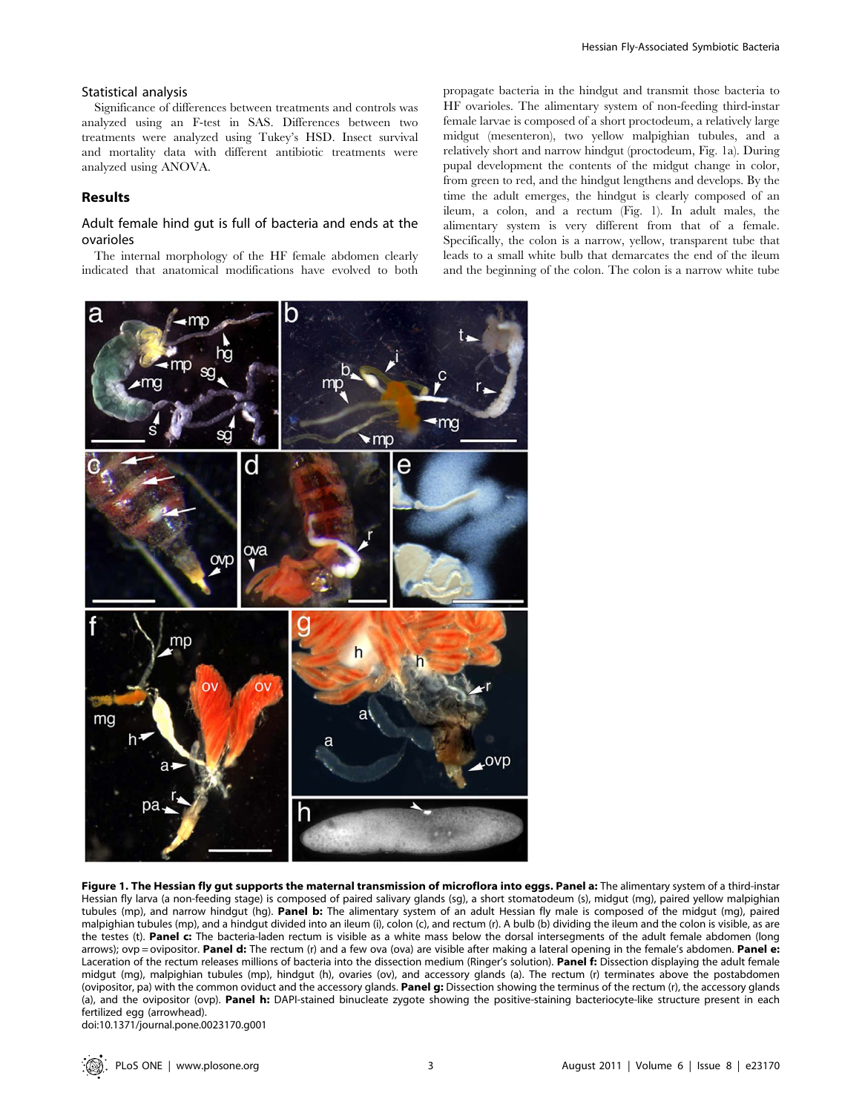## Statistical analysis

Significance of differences between treatments and controls was analyzed using an F-test in SAS. Differences between two treatments were analyzed using Tukey's HSD. Insect survival and mortality data with different antibiotic treatments were analyzed using ANOVA.

# Results

## Adult female hind gut is full of bacteria and ends at the ovarioles

The internal morphology of the HF female abdomen clearly indicated that anatomical modifications have evolved to both propagate bacteria in the hindgut and transmit those bacteria to HF ovarioles. The alimentary system of non-feeding third-instar female larvae is composed of a short proctodeum, a relatively large midgut (mesenteron), two yellow malpighian tubules, and a relatively short and narrow hindgut (proctodeum, Fig. 1a). During pupal development the contents of the midgut change in color, from green to red, and the hindgut lengthens and develops. By the time the adult emerges, the hindgut is clearly composed of an ileum, a colon, and a rectum (Fig. 1). In adult males, the alimentary system is very different from that of a female. Specifically, the colon is a narrow, yellow, transparent tube that leads to a small white bulb that demarcates the end of the ileum and the beginning of the colon. The colon is a narrow white tube



Figure 1. The Hessian fly gut supports the maternal transmission of microflora into eggs. Panel a: The alimentary system of a third-instar Hessian fly larva (a non-feeding stage) is composed of paired salivary glands (sg), a short stomatodeum (s), midgut (mg), paired yellow malpighian tubules (mp), and narrow hindgut (hg). Panel b: The alimentary system of an adult Hessian fly male is composed of the midgut (mg), paired malpighian tubules (mp), and a hindgut divided into an ileum (i), colon (c), and rectum (r). A bulb (b) dividing the ileum and the colon is visible, as are the testes (t). Panel c: The bacteria-laden rectum is visible as a white mass below the dorsal intersegments of the adult female abdomen (long arrows); ovp = ovipositor. Panel d: The rectum (r) and a few ova (ova) are visible after making a lateral opening in the female's abdomen. Panel e: Laceration of the rectum releases millions of bacteria into the dissection medium (Ringer's solution). Panel f: Dissection displaying the adult female midgut (mg), malpighian tubules (mp), hindgut (h), ovaries (ov), and accessory glands (a). The rectum (r) terminates above the postabdomen (ovipositor, pa) with the common oviduct and the accessory glands. Panel g: Dissection showing the terminus of the rectum (r), the accessory glands (a), and the ovipositor (ovp). Panel h: DAPI-stained binucleate zygote showing the positive-staining bacteriocyte-like structure present in each fertilized egg (arrowhead).

doi:10.1371/journal.pone.0023170.g001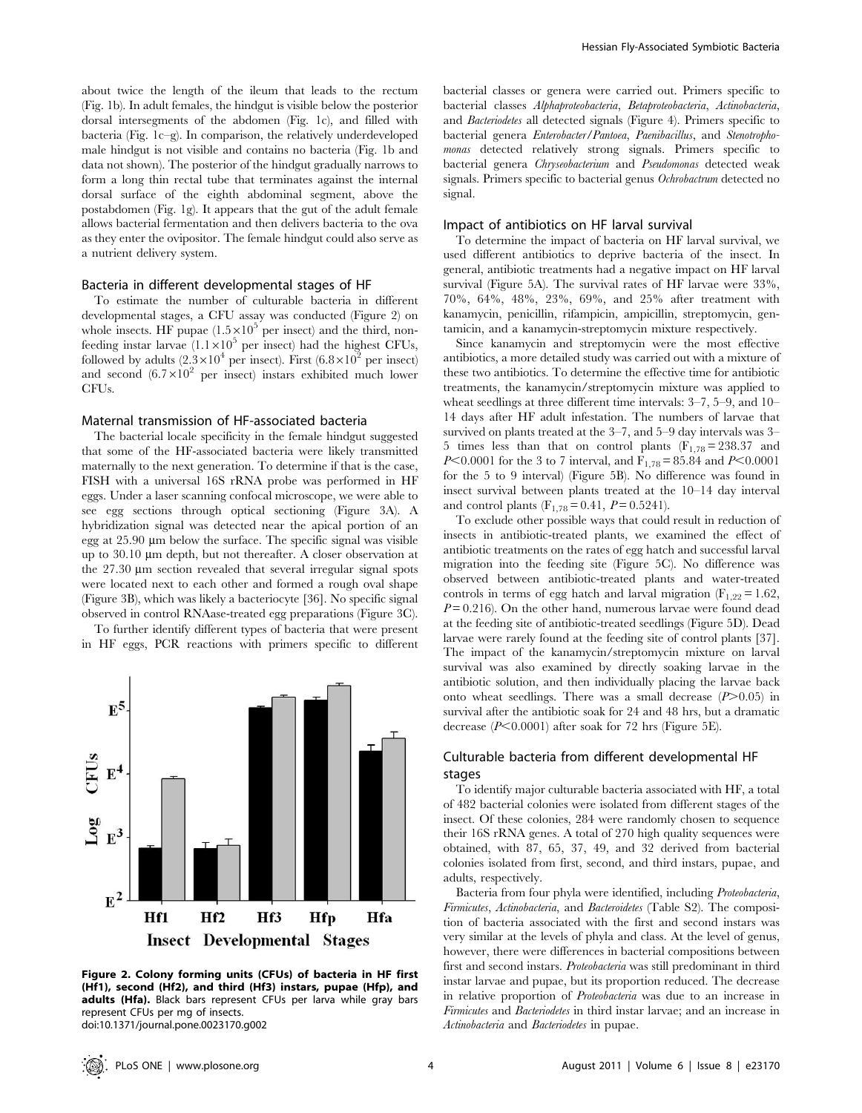about twice the length of the ileum that leads to the rectum (Fig. 1b). In adult females, the hindgut is visible below the posterior dorsal intersegments of the abdomen (Fig. 1c), and filled with bacteria (Fig. 1c–g). In comparison, the relatively underdeveloped male hindgut is not visible and contains no bacteria (Fig. 1b and data not shown). The posterior of the hindgut gradually narrows to form a long thin rectal tube that terminates against the internal dorsal surface of the eighth abdominal segment, above the postabdomen (Fig. 1g). It appears that the gut of the adult female allows bacterial fermentation and then delivers bacteria to the ova as they enter the ovipositor. The female hindgut could also serve as a nutrient delivery system.

#### Bacteria in different developmental stages of HF

To estimate the number of culturable bacteria in different developmental stages, a CFU assay was conducted (Figure 2) on whole insects. HF pupae  $(1.5 \times 10^5$  per insect) and the third, nonfeeding instar larvae  $(1.1 \times 10^5$  per insect) had the highest CFUs, followed by adults  $(2.3\times10^4 \text{ per insect})$ . First  $(6.8\times10^2 \text{ per insect})$ and second  $(6.7\times10^2$  per insect) instars exhibited much lower CFUs.

## Maternal transmission of HF-associated bacteria

The bacterial locale specificity in the female hindgut suggested that some of the HF-associated bacteria were likely transmitted maternally to the next generation. To determine if that is the case, FISH with a universal 16S rRNA probe was performed in HF eggs. Under a laser scanning confocal microscope, we were able to see egg sections through optical sectioning (Figure 3A). A hybridization signal was detected near the apical portion of an egg at  $25.90 \mu m$  below the surface. The specific signal was visible up to 30.10 mm depth, but not thereafter. A closer observation at the  $27.30 \mu m$  section revealed that several irregular signal spots were located next to each other and formed a rough oval shape (Figure 3B), which was likely a bacteriocyte [36]. No specific signal observed in control RNAase-treated egg preparations (Figure 3C).

To further identify different types of bacteria that were present in HF eggs, PCR reactions with primers specific to different



Figure 2. Colony forming units (CFUs) of bacteria in HF first (Hf1), second (Hf2), and third (Hf3) instars, pupae (Hfp), and adults (Hfa). Black bars represent CFUs per larva while gray bars represent CFUs per mg of insects. doi:10.1371/journal.pone.0023170.g002

bacterial classes or genera were carried out. Primers specific to bacterial classes Alphaproteobacteria, Betaproteobacteria, Actinobacteria, and Bacteriodetes all detected signals (Figure 4). Primers specific to bacterial genera Enterobacter/Pantoea, Paenibacillus, and Stenotrophomonas detected relatively strong signals. Primers specific to bacterial genera Chryseobacterium and Pseudomonas detected weak signals. Primers specific to bacterial genus Ochrobactrum detected no signal.

#### Impact of antibiotics on HF larval survival

To determine the impact of bacteria on HF larval survival, we used different antibiotics to deprive bacteria of the insect. In general, antibiotic treatments had a negative impact on HF larval survival (Figure 5A). The survival rates of HF larvae were 33%, 70%, 64%, 48%, 23%, 69%, and 25% after treatment with kanamycin, penicillin, rifampicin, ampicillin, streptomycin, gentamicin, and a kanamycin-streptomycin mixture respectively.

Since kanamycin and streptomycin were the most effective antibiotics, a more detailed study was carried out with a mixture of these two antibiotics. To determine the effective time for antibiotic treatments, the kanamycin/streptomycin mixture was applied to wheat seedlings at three different time intervals: 3–7, 5–9, and 10– 14 days after HF adult infestation. The numbers of larvae that survived on plants treated at the 3–7, and 5–9 day intervals was 3– 5 times less than that on control plants  $(F_{1,78} = 238.37$  and P<0.0001 for the 3 to 7 interval, and  $F_{1,78} = 85.84$  and P<0.0001 for the 5 to 9 interval) (Figure 5B). No difference was found in insect survival between plants treated at the 10–14 day interval and control plants (F<sub>1,78</sub> = 0.41,  $P = 0.5241$ ).

To exclude other possible ways that could result in reduction of insects in antibiotic-treated plants, we examined the effect of antibiotic treatments on the rates of egg hatch and successful larval migration into the feeding site (Figure 5C). No difference was observed between antibiotic-treated plants and water-treated controls in terms of egg hatch and larval migration ( $F_{1,22} = 1.62$ ,  $P = 0.216$ ). On the other hand, numerous larvae were found dead at the feeding site of antibiotic-treated seedlings (Figure 5D). Dead larvae were rarely found at the feeding site of control plants [37]. The impact of the kanamycin/streptomycin mixture on larval survival was also examined by directly soaking larvae in the antibiotic solution, and then individually placing the larvae back onto wheat seedlings. There was a small decrease  $(P>0.05)$  in survival after the antibiotic soak for 24 and 48 hrs, but a dramatic decrease  $(P<0.0001)$  after soak for 72 hrs (Figure 5E).

# Culturable bacteria from different developmental HF stages

To identify major culturable bacteria associated with HF, a total of 482 bacterial colonies were isolated from different stages of the insect. Of these colonies, 284 were randomly chosen to sequence their 16S rRNA genes. A total of 270 high quality sequences were obtained, with 87, 65, 37, 49, and 32 derived from bacterial colonies isolated from first, second, and third instars, pupae, and adults, respectively.

Bacteria from four phyla were identified, including Proteobacteria, Firmicutes, Actinobacteria, and Bacteroidetes (Table S2). The composition of bacteria associated with the first and second instars was very similar at the levels of phyla and class. At the level of genus, however, there were differences in bacterial compositions between first and second instars. Proteobacteria was still predominant in third instar larvae and pupae, but its proportion reduced. The decrease in relative proportion of Proteobacteria was due to an increase in Firmicutes and Bacteriodetes in third instar larvae; and an increase in Actinobacteria and Bacteriodetes in pupae.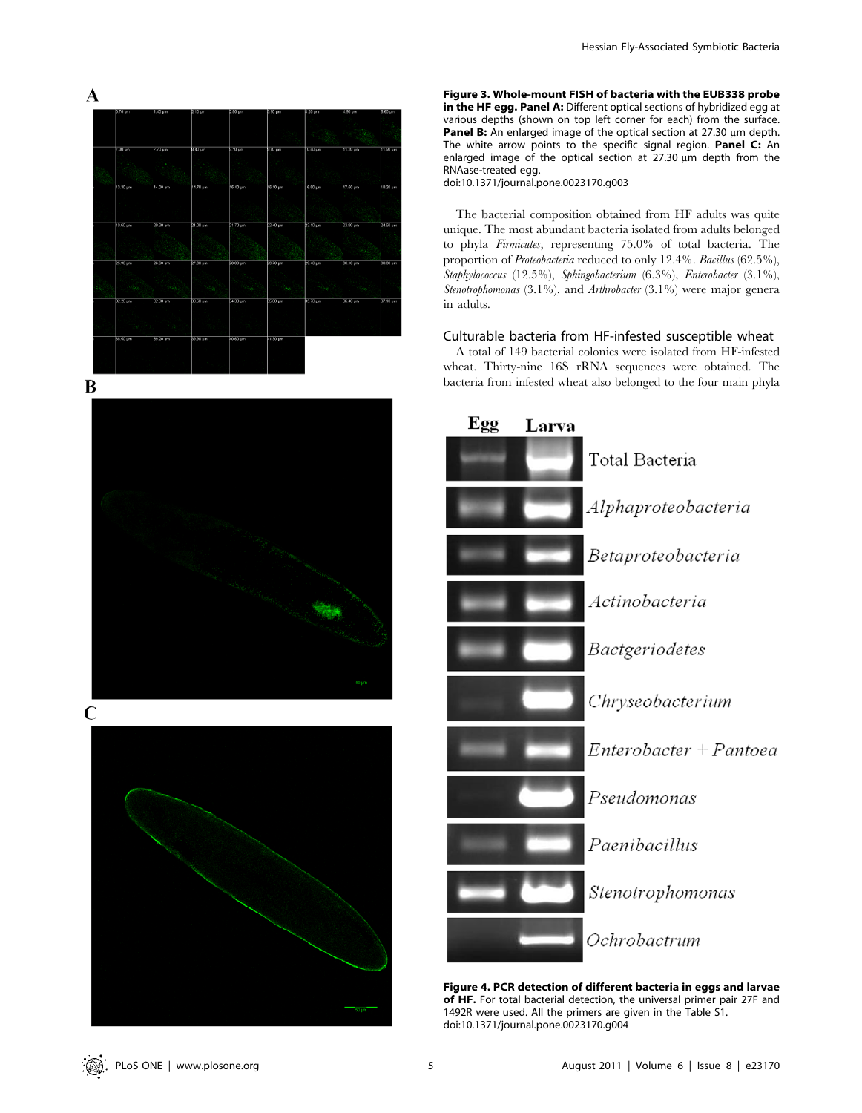







Figure 3. Whole-mount FISH of bacteria with the EUB338 probe in the HF egg. Panel A: Different optical sections of hybridized egg at various depths (shown on top left corner for each) from the surface. **Panel B:** An enlarged image of the optical section at 27.30  $\mu$ m depth. The white arrow points to the specific signal region. Panel C: An enlarged image of the optical section at 27.30  $\mu$ m depth from the RNAase-treated egg.

doi:10.1371/journal.pone.0023170.g003

The bacterial composition obtained from HF adults was quite unique. The most abundant bacteria isolated from adults belonged to phyla Firmicutes, representing 75.0% of total bacteria. The proportion of *Proteobacteria* reduced to only 12.4%. Bacillus (62.5%), Staphylococcus (12.5%), Sphingobacterium (6.3%), Enterobacter (3.1%), Stenotrophomonas (3.1%), and Arthrobacter (3.1%) were major general in adults.

## Culturable bacteria from HF-infested susceptible wheat

A total of 149 bacterial colonies were isolated from HF-infested wheat. Thirty-nine 16S rRNA sequences were obtained. The bacteria from infested wheat also belonged to the four main phyla



Figure 4. PCR detection of different bacteria in eggs and larvae of HF. For total bacterial detection, the universal primer pair 27F and 1492R were used. All the primers are given in the Table S1. doi:10.1371/journal.pone.0023170.g004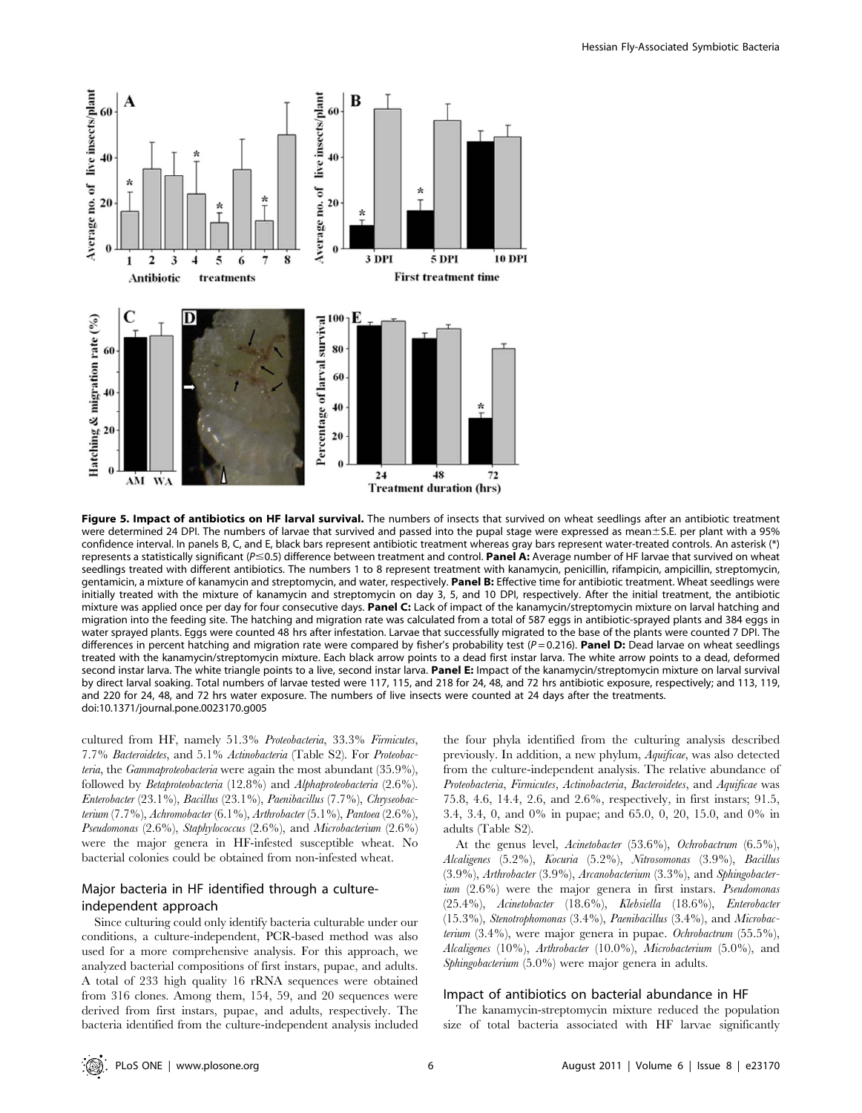

Figure 5. Impact of antibiotics on HF larval survival. The numbers of insects that survived on wheat seedlings after an antibiotic treatment were determined 24 DPI. The numbers of larvae that survived and passed into the pupal stage were expressed as mean±S.E. per plant with a 95% confidence interval. In panels B, C, and E, black bars represent antibiotic treatment whereas gray bars represent water-treated controls. An asterisk (\*) represents a statistically significant ( $P \le 0.5$ ) difference between treatment and control. Panel A: Average number of HF larvae that survived on wheat seedlings treated with different antibiotics. The numbers 1 to 8 represent treatment with kanamycin, penicillin, rifampicin, ampicillin, streptomycin, gentamicin, a mixture of kanamycin and streptomycin, and water, respectively. Panel B: Effective time for antibiotic treatment. Wheat seedlings were initially treated with the mixture of kanamycin and streptomycin on day 3, 5, and 10 DPI, respectively. After the initial treatment, the antibiotic mixture was applied once per day for four consecutive days. Panel C: Lack of impact of the kanamycin/streptomycin mixture on larval hatching and migration into the feeding site. The hatching and migration rate was calculated from a total of 587 eggs in antibiotic-sprayed plants and 384 eggs in water sprayed plants. Eggs were counted 48 hrs after infestation. Larvae that successfully migrated to the base of the plants were counted 7 DPI. The differences in percent hatching and migration rate were compared by fisher's probability test ( $P = 0.216$ ). Panel D: Dead larvae on wheat seedlings treated with the kanamycin/streptomycin mixture. Each black arrow points to a dead first instar larva. The white arrow points to a dead, deformed second instar larva. The white triangle points to a live, second instar larva. Panel E: Impact of the kanamycin/streptomycin mixture on larval survival by direct larval soaking. Total numbers of larvae tested were 117, 115, and 218 for 24, 48, and 72 hrs antibiotic exposure, respectively; and 113, 119, and 220 for 24, 48, and 72 hrs water exposure. The numbers of live insects were counted at 24 days after the treatments. doi:10.1371/journal.pone.0023170.g005

cultured from HF, namely 51.3% Proteobacteria, 33.3% Firmicutes, 7.7% Bacteroidetes, and 5.1% Actinobacteria (Table S2). For Proteobacteria, the Gammaproteobacteria were again the most abundant (35.9%), followed by Betaproteobacteria (12.8%) and Alphaproteobacteria (2.6%). Enterobacter (23.1%), Bacillus (23.1%), Paenibacillus (7.7%), Chryseobacterium (7.7%), Achromobacter (6.1%), Arthrobacter (5.1%), Pantoea (2.6%), Pseudomonas (2.6%), Staphylococcus (2.6%), and Microbacterium (2.6%) were the major genera in HF-infested susceptible wheat. No bacterial colonies could be obtained from non-infested wheat.

# Major bacteria in HF identified through a cultureindependent approach

Since culturing could only identify bacteria culturable under our conditions, a culture-independent, PCR-based method was also used for a more comprehensive analysis. For this approach, we analyzed bacterial compositions of first instars, pupae, and adults. A total of 233 high quality 16 rRNA sequences were obtained from 316 clones. Among them, 154, 59, and 20 sequences were derived from first instars, pupae, and adults, respectively. The bacteria identified from the culture-independent analysis included the four phyla identified from the culturing analysis described previously. In addition, a new phylum, Aquificae, was also detected from the culture-independent analysis. The relative abundance of Proteobacteria, Firmicutes, Actinobacteria, Bacteroidetes, and Aquificae was 75.8, 4.6, 14.4, 2.6, and 2.6%, respectively, in first instars; 91.5, 3.4, 3.4, 0, and 0% in pupae; and 65.0, 0, 20, 15.0, and 0% in adults (Table S2).

At the genus level, Acinetobacter (53.6%), Ochrobactrum (6.5%), Alcaligenes (5.2%), Kocuria (5.2%), Nitrosomonas (3.9%), Bacillus (3.9%), Arthrobacter (3.9%), Arcanobacterium (3.3%), and Sphingobacter $ium (2.6%)$  were the major genera in first instars. *Pseudomonas* (25.4%), Acinetobacter (18.6%), Klebsiella (18.6%), Enterobacter (15.3%), Stenotrophomonas (3.4%), Paenibacillus (3.4%), and Microbacterium  $(3.4\%)$ , were major genera in pupae. Ochrobactrum  $(55.5\%)$ , Alcaligenes (10%), Arthrobacter (10.0%), Microbacterium (5.0%), and Sphingobacterium (5.0%) were major genera in adults.

#### Impact of antibiotics on bacterial abundance in HF

The kanamycin-streptomycin mixture reduced the population size of total bacteria associated with HF larvae significantly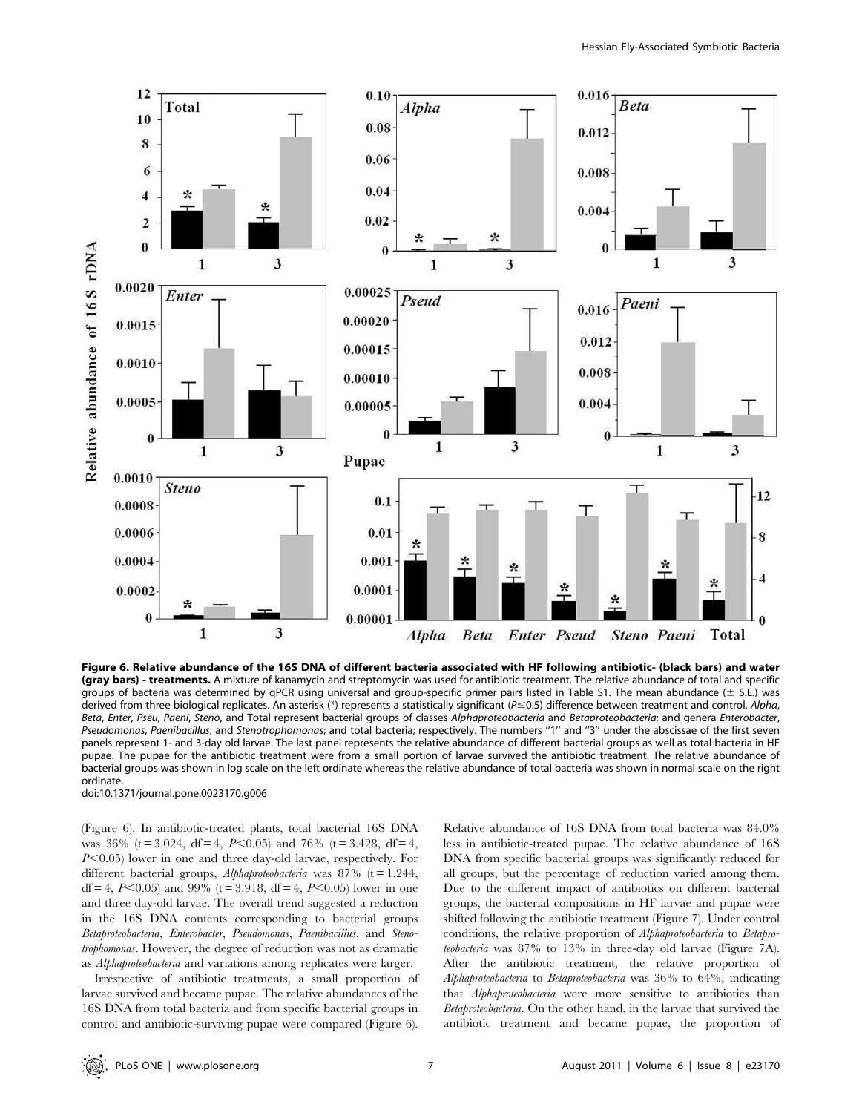

Figure 6. Relative abundance of the 16S DNA of different bacteria associated with HF following antibiotic- (black bars) and water (gray bars) - treatments. A mixture of kanamycin and streptomycin was used for antibiotic treatment. The relative abundance of total and specific groups of bacteria was determined by qPCR using universal and group-specific primer pairs listed in Table S1. The mean abundance ( $\pm$  S.E.) was derived from three biological replicates. An asterisk (\*) represents a statistically significant ( $P \le 0.5$ ) difference between treatment and control. Alpha, Beta, Enter, Pseu, Paeni, Steno, and Total represent bacterial groups of classes Alphaproteobacteria and Betaproteobacteria; and genera Enterobacter, Pseudomonas, Paenibacillus, and Stenotrophomonas; and total bacteria; respectively. The numbers "1" and "3" under the abscissae of the first seven panels represent 1- and 3-day old larvae. The last panel represents the relative abundance of different bacterial groups as well as total bacteria in HF pupae. The pupae for the antibiotic treatment were from a small portion of larvae survived the antibiotic treatment. The relative abundance of bacterial groups was shown in log scale on the left ordinate whereas the relative abundance of total bacteria was shown in normal scale on the right ordinate.

doi:10.1371/journal.pone.0023170.g006

(Figure 6). In antibiotic-treated plants, total bacterial 16S DNA was  $36\%$  (t = 3.024, df = 4, P<0.05) and 76% (t = 3.428, df = 4,  $P<0.05$ ) lower in one and three day-old larvae, respectively. For different bacterial groups, Alphaproteobacteria was  $87\%$  (t = 1.244, df = 4,  $P<0.05$ ) and 99% (t = 3.918, df = 4,  $P<0.05$ ) lower in one and three day-old larvae. The overall trend suggested a reduction in the 16S DNA contents corresponding to bacterial groups Betaproteobacteria, Enterobacter, Pseudomonas, Paenibacillus, and Stenotrophomonas. However, the degree of reduction was not as dramatic as Alphaproteobacteria and variations among replicates were larger.

Irrespective of antibiotic treatments, a small proportion of larvae survived and became pupae. The relative abundances of the 16S DNA from total bacteria and from specific bacterial groups in control and antibiotic-surviving pupae were compared (Figure 6).

Relative abundance of 16S DNA from total bacteria was 84.0% less in antibiotic-treated pupae. The relative abundance of 16S DNA from specific bacterial groups was significantly reduced for all groups, but the percentage of reduction varied among them. Due to the different impact of antibiotics on different bacterial groups, the bacterial compositions in HF larvae and pupae were shifted following the antibiotic treatment (Figure 7). Under control conditions, the relative proportion of Alphaproteobacteria to Betaproteobacteria was 87% to 13% in three-day old larvae (Figure 7A). After the antibiotic treatment, the relative proportion of Alphaproteobacteria to Betaproteobacteria was 36% to 64%, indicating that Alphaproteobacteria were more sensitive to antibiotics than Betaproteobacteria. On the other hand, in the larvae that survived the antibiotic treatment and became pupae, the proportion of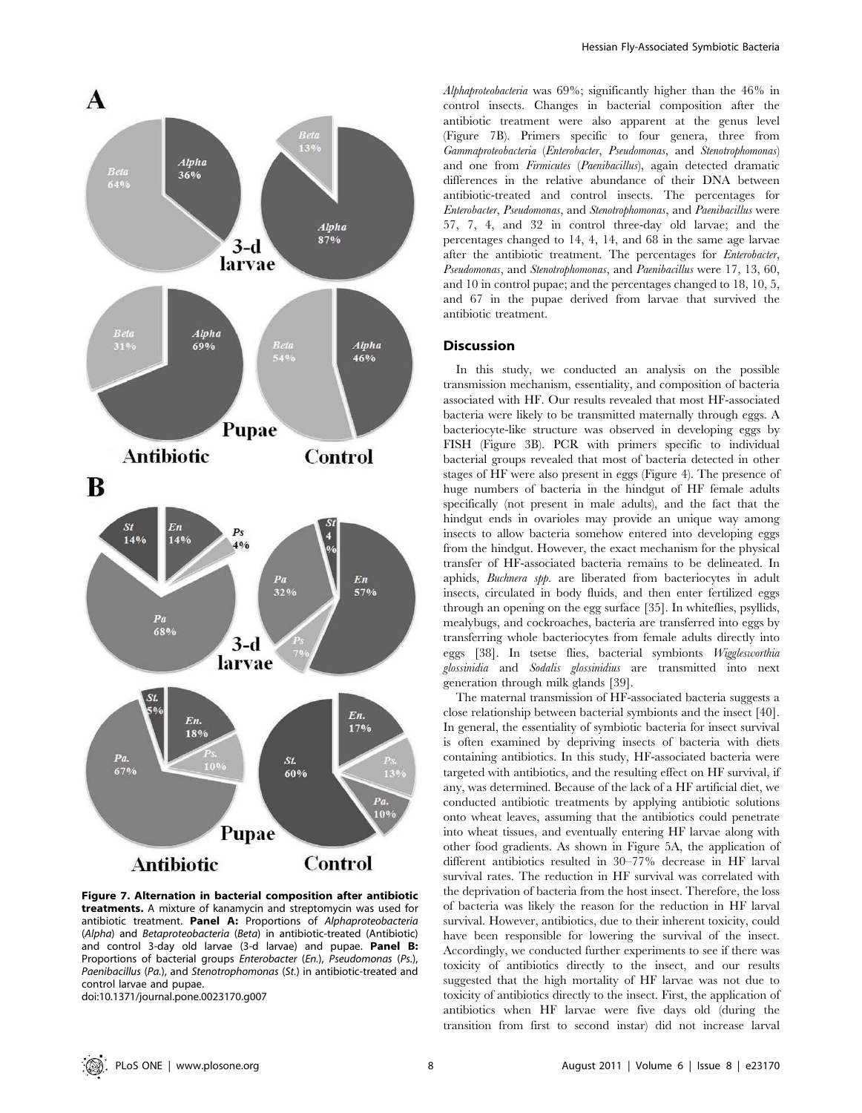

Figure 7. Alternation in bacterial composition after antibiotic treatments. A mixture of kanamycin and streptomycin was used for antibiotic treatment. Panel A: Proportions of Alphaproteobacteria (Alpha) and Betaproteobacteria (Beta) in antibiotic-treated (Antibiotic) and control 3-day old larvae (3-d larvae) and pupae. Panel B: Proportions of bacterial groups Enterobacter (En.), Pseudomonas (Ps.), Paenibacillus (Pa.), and Stenotrophomonas (St.) in antibiotic-treated and control larvae and pupae.

doi:10.1371/journal.pone.0023170.g007

Alphaproteobacteria was 69%; significantly higher than the 46% in control insects. Changes in bacterial composition after the antibiotic treatment were also apparent at the genus level (Figure 7B). Primers specific to four genera, three from Gammaproteobacteria (Enterobacter, Pseudomonas, and Stenotrophomonas) and one from Firmicutes (Paenibacillus), again detected dramatic differences in the relative abundance of their DNA between antibiotic-treated and control insects. The percentages for Enterobacter, Pseudomonas, and Stenotrophomonas, and Paenibacillus were 57, 7, 4, and 32 in control three-day old larvae; and the percentages changed to 14, 4, 14, and 68 in the same age larvae after the antibiotic treatment. The percentages for Enterobacter, Pseudomonas, and Stenotrophomonas, and Paenibacillus were 17, 13, 60, and 10 in control pupae; and the percentages changed to 18, 10, 5, and 67 in the pupae derived from larvae that survived the antibiotic treatment.

# Discussion

In this study, we conducted an analysis on the possible transmission mechanism, essentiality, and composition of bacteria associated with HF. Our results revealed that most HF-associated bacteria were likely to be transmitted maternally through eggs. A bacteriocyte-like structure was observed in developing eggs by FISH (Figure 3B). PCR with primers specific to individual bacterial groups revealed that most of bacteria detected in other stages of HF were also present in eggs (Figure 4). The presence of huge numbers of bacteria in the hindgut of HF female adults specifically (not present in male adults), and the fact that the hindgut ends in ovarioles may provide an unique way among insects to allow bacteria somehow entered into developing eggs from the hindgut. However, the exact mechanism for the physical transfer of HF-associated bacteria remains to be delineated. In aphids, Buchnera spp. are liberated from bacteriocytes in adult insects, circulated in body fluids, and then enter fertilized eggs through an opening on the egg surface [35]. In whiteflies, psyllids, mealybugs, and cockroaches, bacteria are transferred into eggs by transferring whole bacteriocytes from female adults directly into eggs [38]. In tsetse flies, bacterial symbionts Wigglesworthia glossinidia and Sodalis glossinidius are transmitted into next generation through milk glands [39].

The maternal transmission of HF-associated bacteria suggests a close relationship between bacterial symbionts and the insect [40]. In general, the essentiality of symbiotic bacteria for insect survival is often examined by depriving insects of bacteria with diets containing antibiotics. In this study, HF-associated bacteria were targeted with antibiotics, and the resulting effect on HF survival, if any, was determined. Because of the lack of a HF artificial diet, we conducted antibiotic treatments by applying antibiotic solutions onto wheat leaves, assuming that the antibiotics could penetrate into wheat tissues, and eventually entering HF larvae along with other food gradients. As shown in Figure 5A, the application of different antibiotics resulted in 30–77% decrease in HF larval survival rates. The reduction in HF survival was correlated with the deprivation of bacteria from the host insect. Therefore, the loss of bacteria was likely the reason for the reduction in HF larval survival. However, antibiotics, due to their inherent toxicity, could have been responsible for lowering the survival of the insect. Accordingly, we conducted further experiments to see if there was toxicity of antibiotics directly to the insect, and our results suggested that the high mortality of HF larvae was not due to toxicity of antibiotics directly to the insect. First, the application of antibiotics when HF larvae were five days old (during the transition from first to second instar) did not increase larval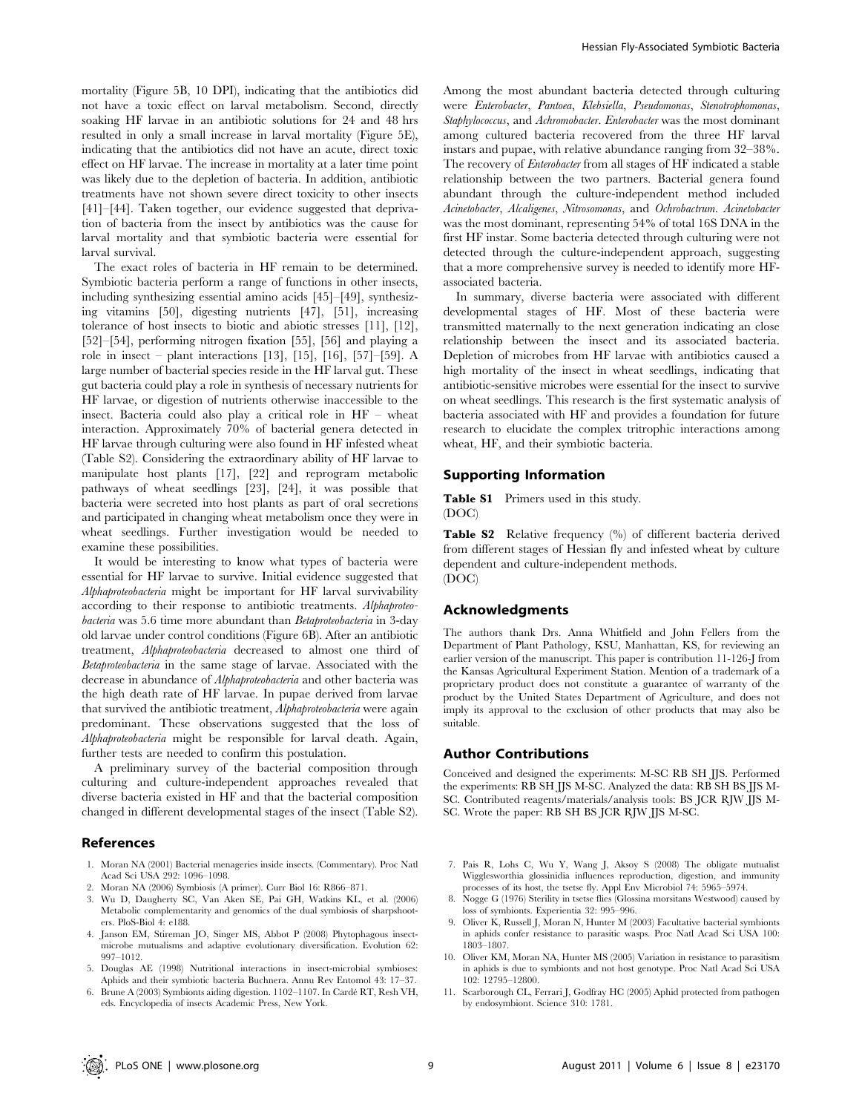mortality (Figure 5B, 10 DPI), indicating that the antibiotics did not have a toxic effect on larval metabolism. Second, directly soaking HF larvae in an antibiotic solutions for 24 and 48 hrs resulted in only a small increase in larval mortality (Figure 5E), indicating that the antibiotics did not have an acute, direct toxic effect on HF larvae. The increase in mortality at a later time point was likely due to the depletion of bacteria. In addition, antibiotic treatments have not shown severe direct toxicity to other insects [41]–[44]. Taken together, our evidence suggested that deprivation of bacteria from the insect by antibiotics was the cause for larval mortality and that symbiotic bacteria were essential for larval survival.

The exact roles of bacteria in HF remain to be determined. Symbiotic bacteria perform a range of functions in other insects, including synthesizing essential amino acids [45]–[49], synthesizing vitamins [50], digesting nutrients [47], [51], increasing tolerance of host insects to biotic and abiotic stresses [11], [12], [52]–[54], performing nitrogen fixation [55], [56] and playing a role in insect – plant interactions [13], [15], [16], [57]–[59]. A large number of bacterial species reside in the HF larval gut. These gut bacteria could play a role in synthesis of necessary nutrients for HF larvae, or digestion of nutrients otherwise inaccessible to the insect. Bacteria could also play a critical role in HF – wheat interaction. Approximately 70% of bacterial genera detected in HF larvae through culturing were also found in HF infested wheat (Table S2). Considering the extraordinary ability of HF larvae to manipulate host plants [17], [22] and reprogram metabolic pathways of wheat seedlings [23], [24], it was possible that bacteria were secreted into host plants as part of oral secretions and participated in changing wheat metabolism once they were in wheat seedlings. Further investigation would be needed to examine these possibilities.

It would be interesting to know what types of bacteria were essential for HF larvae to survive. Initial evidence suggested that Alphaproteobacteria might be important for HF larval survivability according to their response to antibiotic treatments. Alphaproteobacteria was 5.6 time more abundant than Betaproteobacteria in 3-day old larvae under control conditions (Figure 6B). After an antibiotic treatment, Alphaproteobacteria decreased to almost one third of Betaproteobacteria in the same stage of larvae. Associated with the decrease in abundance of Alphaproteobacteria and other bacteria was the high death rate of HF larvae. In pupae derived from larvae that survived the antibiotic treatment, Alphaproteobacteria were again predominant. These observations suggested that the loss of Alphaproteobacteria might be responsible for larval death. Again, further tests are needed to confirm this postulation.

A preliminary survey of the bacterial composition through culturing and culture-independent approaches revealed that diverse bacteria existed in HF and that the bacterial composition changed in different developmental stages of the insect (Table S2).

## References

- 1. Moran NA (2001) Bacterial menageries inside insects. (Commentary). Proc Natl Acad Sci USA 292: 1096–1098.
- 2. Moran NA (2006) Symbiosis (A primer). Curr Biol 16: R866–871.
- 3. Wu D, Daugherty SC, Van Aken SE, Pai GH, Watkins KL, et al. (2006) Metabolic complementarity and genomics of the dual symbiosis of sharpshooters. PloS-Biol 4: e188.
- 4. Janson EM, Stireman JO, Singer MS, Abbot P (2008) Phytophagous insectmicrobe mutualisms and adaptive evolutionary diversification. Evolution 62: 997–1012.
- 5. Douglas AE (1998) Nutritional interactions in insect-microbial symbioses: Aphids and their symbiotic bacteria Buchnera. Annu Rev Entomol 43: 17–37.
- 6. Brune A (2003) Symbionts aiding digestion. 1102-1107. In Cardé RT, Resh VH, eds. Encyclopedia of insects Academic Press, New York.

Among the most abundant bacteria detected through culturing were Enterobacter, Pantoea, Klebsiella, Pseudomonas, Stenotrophomonas, Staphylococcus, and Achromobacter. Enterobacter was the most dominant among cultured bacteria recovered from the three HF larval instars and pupae, with relative abundance ranging from 32–38%. The recovery of Enterobacter from all stages of HF indicated a stable relationship between the two partners. Bacterial genera found abundant through the culture-independent method included Acinetobacter, Alcaligenes, Nitrosomonas, and Ochrobactrum. Acinetobacter was the most dominant, representing 54% of total 16S DNA in the first HF instar. Some bacteria detected through culturing were not detected through the culture-independent approach, suggesting that a more comprehensive survey is needed to identify more HFassociated bacteria.

In summary, diverse bacteria were associated with different developmental stages of HF. Most of these bacteria were transmitted maternally to the next generation indicating an close relationship between the insect and its associated bacteria. Depletion of microbes from HF larvae with antibiotics caused a high mortality of the insect in wheat seedlings, indicating that antibiotic-sensitive microbes were essential for the insect to survive on wheat seedlings. This research is the first systematic analysis of bacteria associated with HF and provides a foundation for future research to elucidate the complex tritrophic interactions among wheat, HF, and their symbiotic bacteria.

## Supporting Information

Table S1 Primers used in this study. (DOC)

Table S2 Relative frequency (%) of different bacteria derived from different stages of Hessian fly and infested wheat by culture dependent and culture-independent methods. (DOC)

### Acknowledgments

The authors thank Drs. Anna Whitfield and John Fellers from the Department of Plant Pathology, KSU, Manhattan, KS, for reviewing an earlier version of the manuscript. This paper is contribution 11-126-J from the Kansas Agricultural Experiment Station. Mention of a trademark of a proprietary product does not constitute a guarantee of warranty of the product by the United States Department of Agriculture, and does not imply its approval to the exclusion of other products that may also be suitable.

## Author Contributions

Conceived and designed the experiments: M-SC RB SH JJS. Performed the experiments: RB SH JJS M-SC. Analyzed the data: RB SH BS JJS M-SC. Contributed reagents/materials/analysis tools: BS JCR RJW JJS M-SC. Wrote the paper: RB SH BS JCR RJW JJS M-SC.

- 7. Pais R, Lohs C, Wu Y, Wang J, Aksoy S (2008) The obligate mutualist Wigglesworthia glossinidia influences reproduction, digestion, and immunity processes of its host, the tsetse fly. Appl Env Microbiol 74: 5965–5974.
- 8. Nogge G (1976) Sterility in tsetse flies (Glossina morsitans Westwood) caused by loss of symbionts. Experientia 32: 995–996.
- 9. Oliver K, Russell J, Moran N, Hunter M (2003) Facultative bacterial symbionts in aphids confer resistance to parasitic wasps. Proc Natl Acad Sci USA 100: 1803–1807.
- 10. Oliver KM, Moran NA, Hunter MS (2005) Variation in resistance to parasitism in aphids is due to symbionts and not host genotype. Proc Natl Acad Sci USA 102: 12795–12800.
- 11. Scarborough CL, Ferrari J, Godfray HC (2005) Aphid protected from pathogen by endosymbiont. Science 310: 1781.